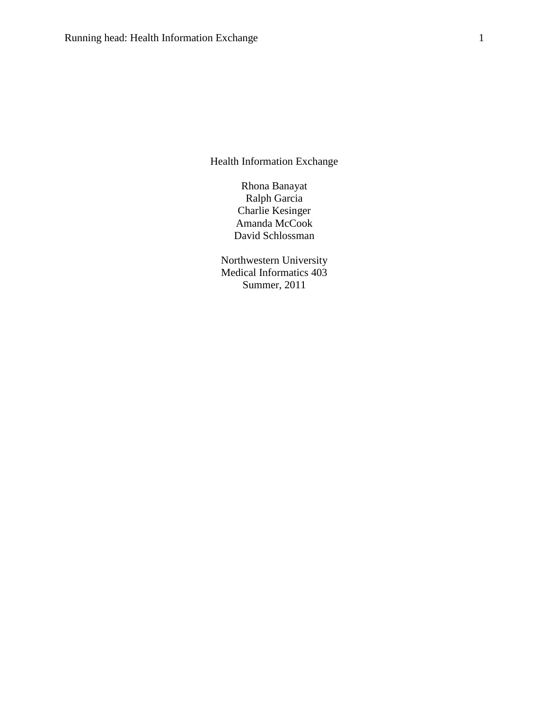Health Information Exchange

Rhona Banayat Ralph Garcia Charlie Kesinger Amanda McCook David Schlossman

Northwestern University Medical Informatics 403 Summer, 2011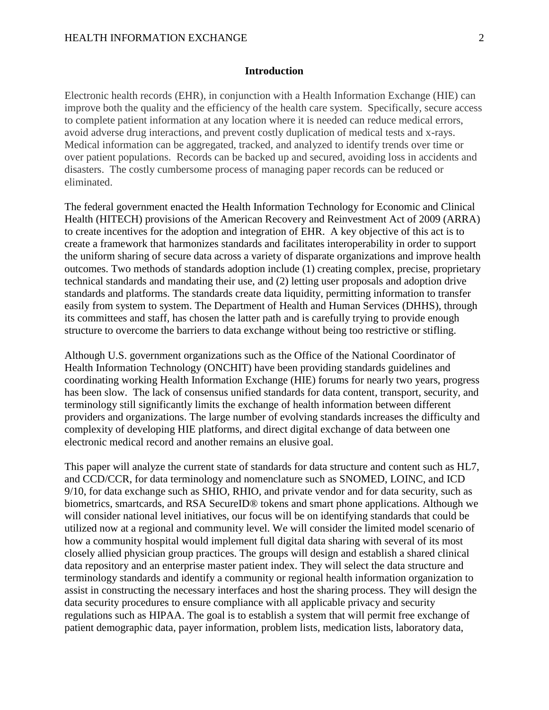### **Introduction**

Electronic health records (EHR), in conjunction with a Health Information Exchange (HIE) can improve both the quality and the efficiency of the health care system. Specifically, secure access to complete patient information at any location where it is needed can reduce medical errors, avoid adverse drug interactions, and prevent costly duplication of medical tests and x-rays. Medical information can be aggregated, tracked, and analyzed to identify trends over time or over patient populations. Records can be backed up and secured, avoiding loss in accidents and disasters. The costly cumbersome process of managing paper records can be reduced or eliminated.

The federal government enacted the Health Information Technology for Economic and Clinical Health (HITECH) provisions of the American Recovery and Reinvestment Act of 2009 (ARRA) to create incentives for the adoption and integration of EHR. A key objective of this act is to create a framework that harmonizes standards and facilitates interoperability in order to support the uniform sharing of secure data across a variety of disparate organizations and improve health outcomes. Two methods of standards adoption include (1) creating complex, precise, proprietary technical standards and mandating their use, and (2) letting user proposals and adoption drive standards and platforms. The standards create data liquidity, permitting information to transfer easily from system to system. The Department of Health and Human Services (DHHS), through its committees and staff, has chosen the latter path and is carefully trying to provide enough structure to overcome the barriers to data exchange without being too restrictive or stifling.

Although U.S. government organizations such as the Office of the National Coordinator of Health Information Technology (ONCHIT) have been providing standards guidelines and coordinating working Health Information Exchange (HIE) forums for nearly two years, progress has been slow. The lack of consensus unified standards for data content, transport, security, and terminology still significantly limits the exchange of health information between different providers and organizations. The large number of evolving standards increases the difficulty and complexity of developing HIE platforms, and direct digital exchange of data between one electronic medical record and another remains an elusive goal.

This paper will analyze the current state of standards for data structure and content such as HL7, and CCD/CCR, for data terminology and nomenclature such as SNOMED, LOINC, and ICD 9/10, for data exchange such as SHIO, RHIO, and private vendor and for data security, such as biometrics, smartcards, and RSA SecureID® tokens and smart phone applications. Although we will consider national level initiatives, our focus will be on identifying standards that could be utilized now at a regional and community level. We will consider the limited model scenario of how a community hospital would implement full digital data sharing with several of its most closely allied physician group practices. The groups will design and establish a shared clinical data repository and an enterprise master patient index. They will select the data structure and terminology standards and identify a community or regional health information organization to assist in constructing the necessary interfaces and host the sharing process. They will design the data security procedures to ensure compliance with all applicable privacy and security regulations such as HIPAA. The goal is to establish a system that will permit free exchange of patient demographic data, payer information, problem lists, medication lists, laboratory data,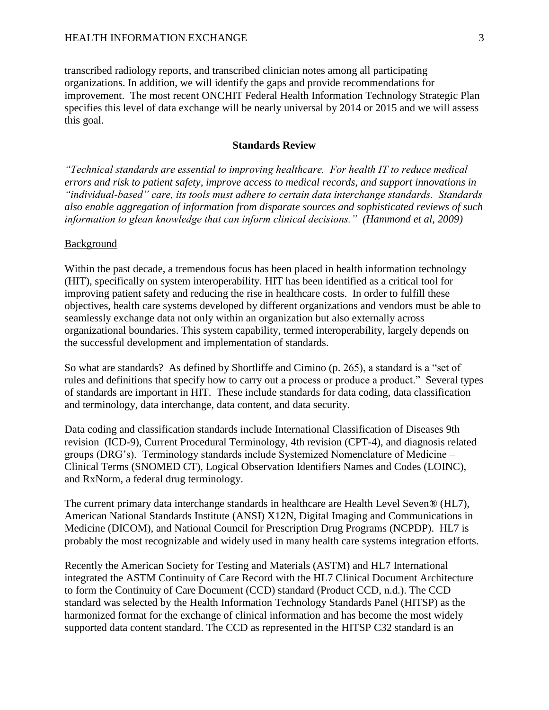transcribed radiology reports, and transcribed clinician notes among all participating organizations. In addition, we will identify the gaps and provide recommendations for improvement. The most recent ONCHIT Federal Health Information Technology Strategic Plan specifies this level of data exchange will be nearly universal by 2014 or 2015 and we will assess this goal.

### **Standards Review**

*"Technical standards are essential to improving healthcare. For health IT to reduce medical errors and risk to patient safety, improve access to medical records, and support innovations in "individual-based" care, its tools must adhere to certain data interchange standards. Standards also enable aggregation of information from disparate sources and sophisticated reviews of such information to glean knowledge that can inform clinical decisions." (Hammond et al, 2009)*

#### Background

Within the past decade, a tremendous focus has been placed in health information technology (HIT), specifically on system interoperability. HIT has been identified as a critical tool for improving patient safety and reducing the rise in healthcare costs. In order to fulfill these objectives, health care systems developed by different organizations and vendors must be able to seamlessly exchange data not only within an organization but also externally across organizational boundaries. This system capability, termed interoperability, largely depends on the successful development and implementation of standards.

So what are standards? As defined by Shortliffe and Cimino (p. 265), a standard is a "set of rules and definitions that specify how to carry out a process or produce a product." Several types of standards are important in HIT. These include standards for data coding, data classification and terminology, data interchange, data content, and data security.

Data coding and classification standards include International Classification of Diseases 9th revision (ICD-9), Current Procedural Terminology, 4th revision (CPT-4), and diagnosis related groups (DRG's). Terminology standards include Systemized Nomenclature of Medicine – Clinical Terms (SNOMED CT), Logical Observation Identifiers Names and Codes (LOINC), and RxNorm, a federal drug terminology.

The current primary data interchange standards in healthcare are Health Level Seven<sup>®</sup> (HL7), American National Standards Institute (ANSI) X12N, Digital Imaging and Communications in Medicine (DICOM), and National Council for Prescription Drug Programs (NCPDP). HL7 is probably the most recognizable and widely used in many health care systems integration efforts.

Recently the American Society for Testing and Materials (ASTM) and HL7 International integrated the ASTM Continuity of Care Record with the HL7 Clinical Document Architecture to form the Continuity of Care Document (CCD) standard (Product CCD, n.d.). The CCD standard was selected by the Health Information Technology Standards Panel (HITSP) as the harmonized format for the exchange of clinical information and has become the most widely supported data content standard. The CCD as represented in the HITSP C32 standard is an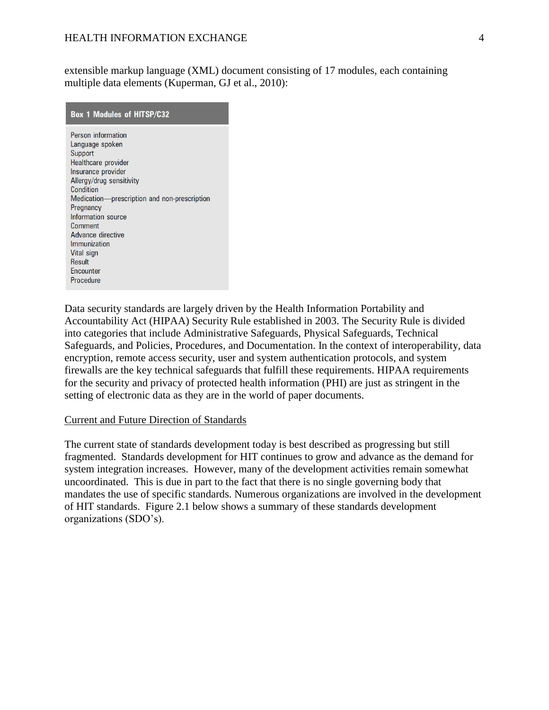extensible markup language (XML) document consisting of 17 modules, each containing multiple data elements (Kuperman, GJ et al., 2010):

| <b>Box 1 Modules of HITSP/C32</b>            |
|----------------------------------------------|
| Person information                           |
| Language spoken                              |
| <b>Support</b>                               |
| Healthcare provider<br>Insurance provider    |
| Allergy/drug sensitivity                     |
| Condition                                    |
| Medication-prescription and non-prescription |
| Pregnancy                                    |
| Information source                           |
| Comment                                      |
| Advance directive                            |
| Immunization                                 |
| Vital sign                                   |
| <b>Result</b>                                |
| Encounter                                    |
| Procedure                                    |

Data security standards are largely driven by the Health Information Portability and Accountability Act (HIPAA) Security Rule established in 2003. The Security Rule is divided into categories that include Administrative Safeguards, Physical Safeguards, Technical Safeguards, and Policies, Procedures, and Documentation. In the context of interoperability, data encryption, remote access security, user and system authentication protocols, and system firewalls are the key technical safeguards that fulfill these requirements. HIPAA requirements for the security and privacy of protected health information (PHI) are just as stringent in the setting of electronic data as they are in the world of paper documents.

## Current and Future Direction of Standards

The current state of standards development today is best described as progressing but still fragmented. Standards development for HIT continues to grow and advance as the demand for system integration increases. However, many of the development activities remain somewhat uncoordinated. This is due in part to the fact that there is no single governing body that mandates the use of specific standards. Numerous organizations are involved in the development of HIT standards. Figure 2.1 below shows a summary of these standards development organizations (SDO's).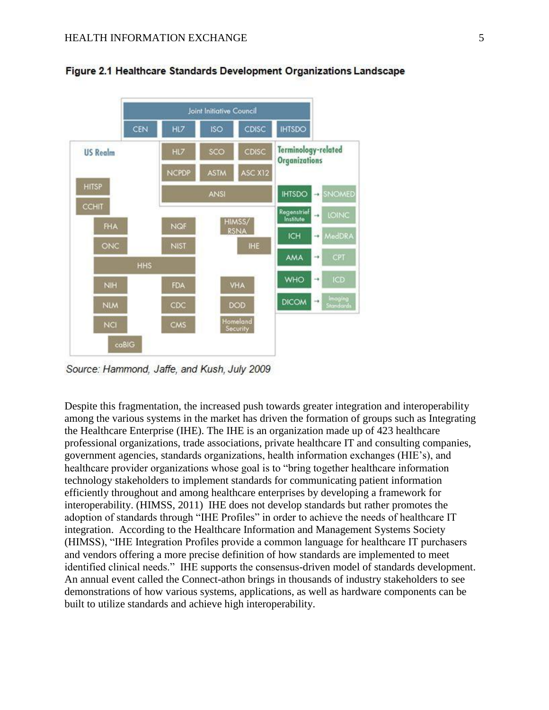

Figure 2.1 Healthcare Standards Development Organizations Landscape

Source: Hammond, Jaffe, and Kush, July 2009

Despite this fragmentation, the increased push towards greater integration and interoperability among the various systems in the market has driven the formation of groups such as Integrating the Healthcare Enterprise (IHE). The IHE is an organization made up of 423 healthcare professional organizations, trade associations, private healthcare IT and consulting companies, government agencies, standards organizations, health information exchanges (HIE's), and healthcare provider organizations whose goal is to "bring together healthcare information technology stakeholders to implement standards for communicating patient information efficiently throughout and among healthcare enterprises by developing a framework for interoperability. (HIMSS, 2011) IHE does not develop standards but rather promotes the adoption of standards through "IHE Profiles" in order to achieve the needs of healthcare IT integration. According to the Healthcare Information and Management Systems Society (HIMSS), "IHE Integration Profiles provide a common language for healthcare IT purchasers and vendors offering a more precise definition of how standards are implemented to meet identified clinical needs." IHE supports the consensus-driven model of standards development. An annual event called the Connect-athon brings in thousands of industry stakeholders to see demonstrations of how various systems, applications, as well as hardware components can be built to utilize standards and achieve high interoperability.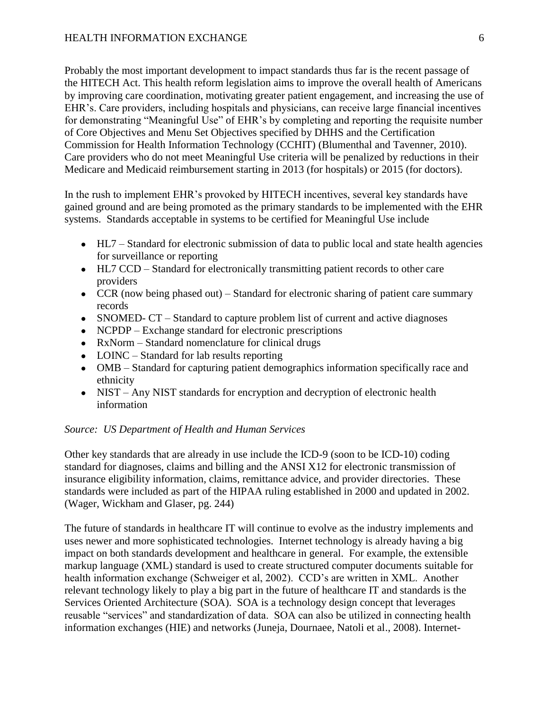Probably the most important development to impact standards thus far is the recent passage of the HITECH Act. This health reform legislation aims to improve the overall health of Americans by improving care coordination, motivating greater patient engagement, and increasing the use of EHR's. Care providers, including hospitals and physicians, can receive large financial incentives for demonstrating "Meaningful Use" of EHR's by completing and reporting the requisite number of Core Objectives and Menu Set Objectives specified by DHHS and the Certification Commission for Health Information Technology (CCHIT) (Blumenthal and Tavenner, 2010). Care providers who do not meet Meaningful Use criteria will be penalized by reductions in their Medicare and Medicaid reimbursement starting in 2013 (for hospitals) or 2015 (for doctors).

In the rush to implement EHR's provoked by HITECH incentives, several key standards have gained ground and are being promoted as the primary standards to be implemented with the EHR systems. Standards acceptable in systems to be certified for Meaningful Use include

- HL7 Standard for electronic submission of data to public local and state health agencies for surveillance or reporting
- HL7 CCD Standard for electronically transmitting patient records to other care providers
- CCR (now being phased out) Standard for electronic sharing of patient care summary records
- SNOMED- CT Standard to capture problem list of current and active diagnoses
- NCPDP Exchange standard for electronic prescriptions
- RxNorm Standard nomenclature for clinical drugs
- LOINC Standard for lab results reporting
- OMB Standard for capturing patient demographics information specifically race and ethnicity
- NIST Any NIST standards for encryption and decryption of electronic health information

# *Source: US Department of Health and Human Services*

Other key standards that are already in use include the ICD-9 (soon to be ICD-10) coding standard for diagnoses, claims and billing and the ANSI X12 for electronic transmission of insurance eligibility information, claims, remittance advice, and provider directories. These standards were included as part of the HIPAA ruling established in 2000 and updated in 2002. (Wager, Wickham and Glaser, pg. 244)

The future of standards in healthcare IT will continue to evolve as the industry implements and uses newer and more sophisticated technologies. Internet technology is already having a big impact on both standards development and healthcare in general. For example, the extensible markup language (XML) standard is used to create structured computer documents suitable for health information exchange (Schweiger et al, 2002). CCD's are written in XML. Another relevant technology likely to play a big part in the future of healthcare IT and standards is the Services Oriented Architecture (SOA). SOA is a technology design concept that leverages reusable "services" and standardization of data. SOA can also be utilized in connecting health information exchanges (HIE) and networks (Juneja, Dournaee, Natoli et al., 2008). Internet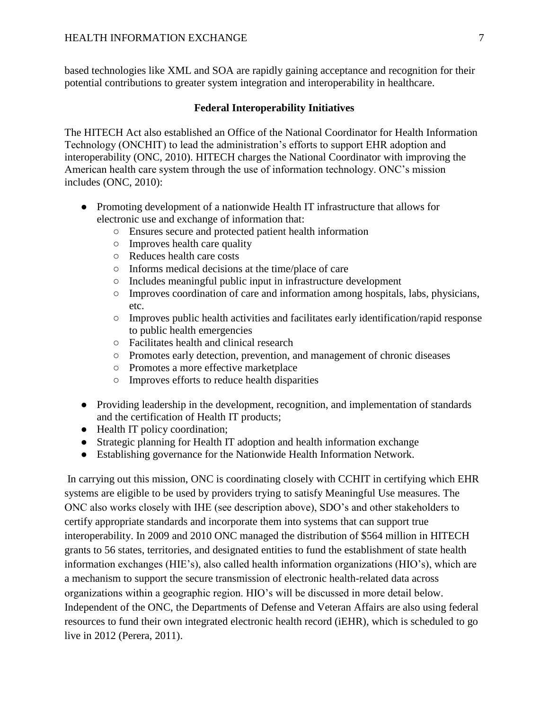based technologies like XML and SOA are rapidly gaining acceptance and recognition for their potential contributions to greater system integration and interoperability in healthcare.

# **Federal Interoperability Initiatives**

The HITECH Act also established an Office of the National Coordinator for Health Information Technology (ONCHIT) to lead the administration's efforts to support EHR adoption and interoperability (ONC, 2010). HITECH charges the National Coordinator with improving the American health care system through the use of information technology. ONC's mission includes (ONC, 2010):

- Promoting development of a nationwide Health IT infrastructure that allows for electronic use and exchange of information that:
	- Ensures secure and protected patient health information
	- $\circ$  Improves health care quality
	- Reduces health care costs
	- Informs medical decisions at the time/place of care
	- Includes meaningful public input in infrastructure development
	- Improves coordination of care and information among hospitals, labs, physicians, etc.
	- Improves public health activities and facilitates early identification/rapid response to public health emergencies
	- Facilitates health and clinical research
	- Promotes early detection, prevention, and management of chronic diseases
	- Promotes a more effective marketplace
	- Improves efforts to reduce health disparities
- Providing leadership in the development, recognition, and implementation of standards and the certification of Health IT products;
- Health IT policy coordination;
- Strategic planning for Health IT adoption and health information exchange
- Establishing governance for the Nationwide Health Information Network.

In carrying out this mission, ONC is coordinating closely with CCHIT in certifying which EHR systems are eligible to be used by providers trying to satisfy Meaningful Use measures. The ONC also works closely with IHE (see description above), SDO's and other stakeholders to certify appropriate standards and incorporate them into systems that can support true interoperability. In 2009 and 2010 ONC managed the distribution of \$564 million in HITECH grants to 56 states, territories, and designated entities to fund the establishment of state health information exchanges (HIE's), also called health information organizations (HIO's), which are a mechanism to support the secure transmission of electronic health-related data across organizations within a geographic region. HIO's will be discussed in more detail below. Independent of the ONC, the Departments of Defense and Veteran Affairs are also using federal resources to fund their own integrated electronic health record (iEHR), which is scheduled to go live in 2012 (Perera, 2011).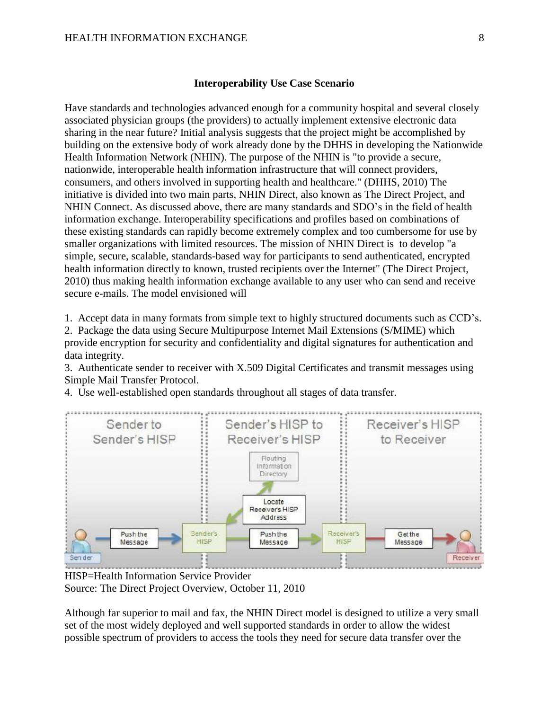#### **Interoperability Use Case Scenario**

Have standards and technologies advanced enough for a community hospital and several closely associated physician groups (the providers) to actually implement extensive electronic data sharing in the near future? Initial analysis suggests that the project might be accomplished by building on the extensive body of work already done by the DHHS in developing the Nationwide Health Information Network (NHIN). The purpose of the NHIN is "to provide a secure, nationwide, interoperable health information infrastructure that will connect providers, consumers, and others involved in supporting health and healthcare." (DHHS, 2010) The initiative is divided into two main parts, NHIN Direct, also known as The Direct Project, and NHIN Connect. As discussed above, there are many standards and SDO's in the field of health information exchange. Interoperability specifications and profiles based on combinations of these existing standards can rapidly become extremely complex and too cumbersome for use by smaller organizations with limited resources. The mission of NHIN Direct is to develop "a simple, secure, scalable, standards-based way for participants to send authenticated, encrypted health information directly to known, trusted recipients over the Internet" (The Direct Project, 2010) thus making health information exchange available to any user who can send and receive secure e-mails. The model envisioned will

1. Accept data in many formats from simple text to highly structured documents such as CCD's.

2. Package the data using Secure Multipurpose Internet Mail Extensions (S/MIME) which provide encryption for security and confidentiality and digital signatures for authentication and data integrity.

3. Authenticate sender to receiver with X.509 Digital Certificates and transmit messages using Simple Mail Transfer Protocol.

4. Use well-established open standards throughout all stages of data transfer.



HISP=Health Information Service Provider Source: The Direct Project Overview, October 11, 2010

Although far superior to mail and fax, the NHIN Direct model is designed to utilize a very small set of the most widely deployed and well supported standards in order to allow the widest possible spectrum of providers to access the tools they need for secure data transfer over the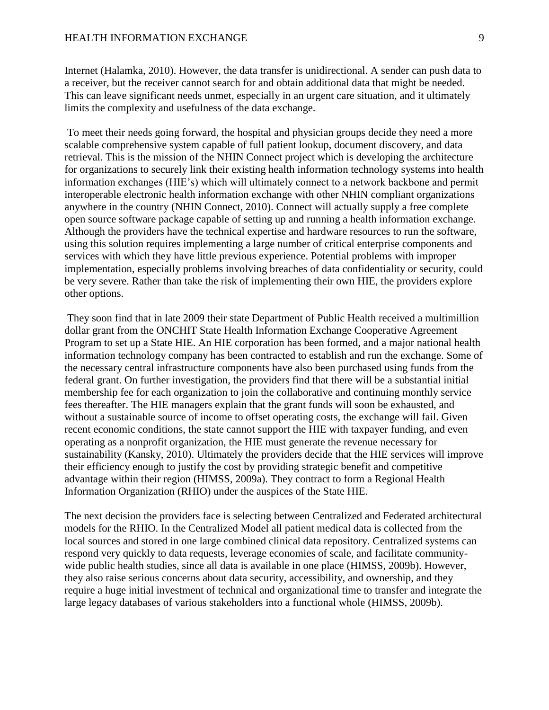Internet (Halamka, 2010). However, the data transfer is unidirectional. A sender can push data to a receiver, but the receiver cannot search for and obtain additional data that might be needed. This can leave significant needs unmet, especially in an urgent care situation, and it ultimately limits the complexity and usefulness of the data exchange.

To meet their needs going forward, the hospital and physician groups decide they need a more scalable comprehensive system capable of full patient lookup, document discovery, and data retrieval. This is the mission of the NHIN Connect project which is developing the architecture for organizations to securely link their existing health information technology systems into health information exchanges (HIE's) which will ultimately connect to a network backbone and permit interoperable electronic health information exchange with other NHIN compliant organizations anywhere in the country (NHIN Connect, 2010). Connect will actually supply a free complete open source software package capable of setting up and running a health information exchange. Although the providers have the technical expertise and hardware resources to run the software, using this solution requires implementing a large number of critical enterprise components and services with which they have little previous experience. Potential problems with improper implementation, especially problems involving breaches of data confidentiality or security, could be very severe. Rather than take the risk of implementing their own HIE, the providers explore other options.

They soon find that in late 2009 their state Department of Public Health received a multimillion dollar grant from the ONCHIT State Health Information Exchange Cooperative Agreement Program to set up a State HIE. An HIE corporation has been formed, and a major national health information technology company has been contracted to establish and run the exchange. Some of the necessary central infrastructure components have also been purchased using funds from the federal grant. On further investigation, the providers find that there will be a substantial initial membership fee for each organization to join the collaborative and continuing monthly service fees thereafter. The HIE managers explain that the grant funds will soon be exhausted, and without a sustainable source of income to offset operating costs, the exchange will fail. Given recent economic conditions, the state cannot support the HIE with taxpayer funding, and even operating as a nonprofit organization, the HIE must generate the revenue necessary for sustainability (Kansky, 2010). Ultimately the providers decide that the HIE services will improve their efficiency enough to justify the cost by providing strategic benefit and competitive advantage within their region (HIMSS, 2009a). They contract to form a Regional Health Information Organization (RHIO) under the auspices of the State HIE.

The next decision the providers face is selecting between Centralized and Federated architectural models for the RHIO. In the Centralized Model all patient medical data is collected from the local sources and stored in one large combined clinical data repository. Centralized systems can respond very quickly to data requests, leverage economies of scale, and facilitate communitywide public health studies, since all data is available in one place (HIMSS, 2009b). However, they also raise serious concerns about data security, accessibility, and ownership, and they require a huge initial investment of technical and organizational time to transfer and integrate the large legacy databases of various stakeholders into a functional whole (HIMSS, 2009b).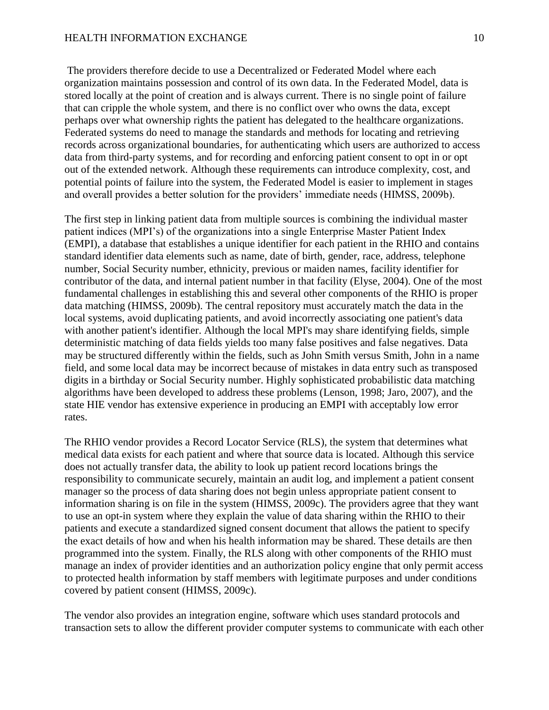#### HEALTH INFORMATION EXCHANGE 10

The providers therefore decide to use a Decentralized or Federated Model where each organization maintains possession and control of its own data. In the Federated Model, data is stored locally at the point of creation and is always current. There is no single point of failure that can cripple the whole system, and there is no conflict over who owns the data, except perhaps over what ownership rights the patient has delegated to the healthcare organizations. Federated systems do need to manage the standards and methods for locating and retrieving records across organizational boundaries, for authenticating which users are authorized to access data from third-party systems, and for recording and enforcing patient consent to opt in or opt out of the extended network. Although these requirements can introduce complexity, cost, and potential points of failure into the system, the Federated Model is easier to implement in stages and overall provides a better solution for the providers' immediate needs (HIMSS, 2009b).

The first step in linking patient data from multiple sources is combining the individual master patient indices (MPI's) of the organizations into a single Enterprise Master Patient Index (EMPI), a database that establishes a unique identifier for each patient in the RHIO and contains standard identifier data elements such as name, date of birth, gender, race, address, telephone number, Social Security number, ethnicity, previous or maiden names, facility identifier for contributor of the data, and internal patient number in that facility (Elyse, 2004). One of the most fundamental challenges in establishing this and several other components of the RHIO is proper data matching (HIMSS, 2009b). The central repository must accurately match the data in the local systems, avoid duplicating patients, and avoid incorrectly associating one patient's data with another patient's identifier. Although the local MPI's may share identifying fields, simple deterministic matching of data fields yields too many false positives and false negatives. Data may be structured differently within the fields, such as John Smith versus Smith, John in a name field, and some local data may be incorrect because of mistakes in data entry such as transposed digits in a birthday or Social Security number. Highly sophisticated probabilistic data matching algorithms have been developed to address these problems (Lenson, 1998; Jaro, 2007), and the state HIE vendor has extensive experience in producing an EMPI with acceptably low error rates.

The RHIO vendor provides a Record Locator Service (RLS), the system that determines what medical data exists for each patient and where that source data is located. Although this service does not actually transfer data, the ability to look up patient record locations brings the responsibility to communicate securely, maintain an audit log, and implement a patient consent manager so the process of data sharing does not begin unless appropriate patient consent to information sharing is on file in the system (HIMSS, 2009c). The providers agree that they want to use an opt-in system where they explain the value of data sharing within the RHIO to their patients and execute a standardized signed consent document that allows the patient to specify the exact details of how and when his health information may be shared. These details are then programmed into the system. Finally, the RLS along with other components of the RHIO must manage an index of provider identities and an authorization policy engine that only permit access to protected health information by staff members with legitimate purposes and under conditions covered by patient consent (HIMSS, 2009c).

The vendor also provides an integration engine, software which uses standard protocols and transaction sets to allow the different provider computer systems to communicate with each other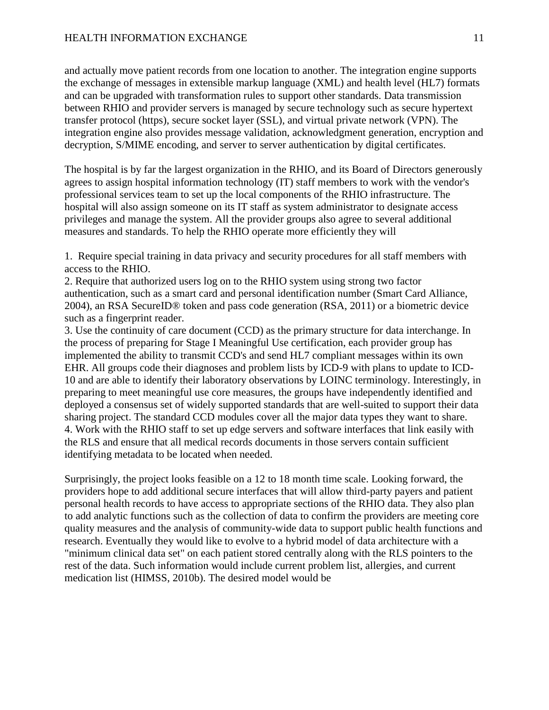and actually move patient records from one location to another. The integration engine supports the exchange of messages in extensible markup language (XML) and health level (HL7) formats and can be upgraded with transformation rules to support other standards. Data transmission between RHIO and provider servers is managed by secure technology such as secure hypertext transfer protocol (https), secure socket layer (SSL), and virtual private network (VPN). The integration engine also provides message validation, acknowledgment generation, encryption and decryption, S/MIME encoding, and server to server authentication by digital certificates.

The hospital is by far the largest organization in the RHIO, and its Board of Directors generously agrees to assign hospital information technology (IT) staff members to work with the vendor's professional services team to set up the local components of the RHIO infrastructure. The hospital will also assign someone on its IT staff as system administrator to designate access privileges and manage the system. All the provider groups also agree to several additional measures and standards. To help the RHIO operate more efficiently they will

1. Require special training in data privacy and security procedures for all staff members with access to the RHIO.

2. Require that authorized users log on to the RHIO system using strong two factor authentication, such as a smart card and personal identification number (Smart Card Alliance, 2004), an RSA SecureID® token and pass code generation (RSA, 2011) or a biometric device such as a fingerprint reader.

3. Use the continuity of care document (CCD) as the primary structure for data interchange. In the process of preparing for Stage I Meaningful Use certification, each provider group has implemented the ability to transmit CCD's and send HL7 compliant messages within its own EHR. All groups code their diagnoses and problem lists by ICD-9 with plans to update to ICD-10 and are able to identify their laboratory observations by LOINC terminology. Interestingly, in preparing to meet meaningful use core measures, the groups have independently identified and deployed a consensus set of widely supported standards that are well-suited to support their data sharing project. The standard CCD modules cover all the major data types they want to share. 4. Work with the RHIO staff to set up edge servers and software interfaces that link easily with the RLS and ensure that all medical records documents in those servers contain sufficient identifying metadata to be located when needed.

Surprisingly, the project looks feasible on a 12 to 18 month time scale. Looking forward, the providers hope to add additional secure interfaces that will allow third-party payers and patient personal health records to have access to appropriate sections of the RHIO data. They also plan to add analytic functions such as the collection of data to confirm the providers are meeting core quality measures and the analysis of community-wide data to support public health functions and research. Eventually they would like to evolve to a hybrid model of data architecture with a "minimum clinical data set" on each patient stored centrally along with the RLS pointers to the rest of the data. Such information would include current problem list, allergies, and current medication list (HIMSS, 2010b). The desired model would be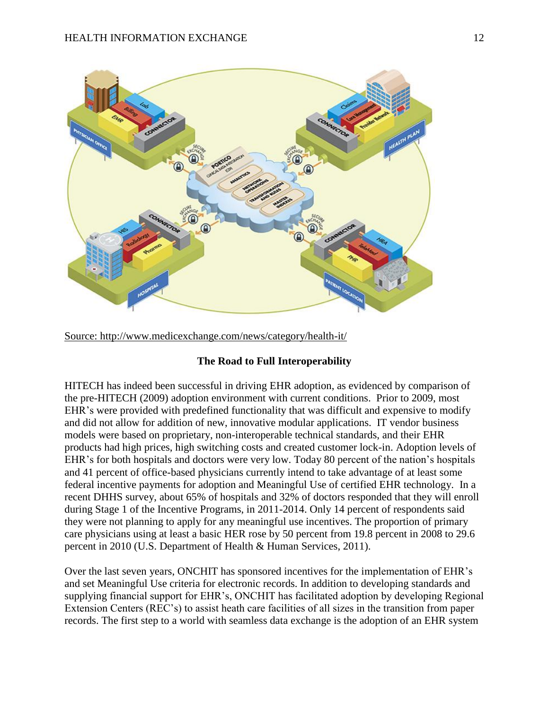

Source: http://www.medicexchange.com/news/category/health-it/

# **The Road to Full Interoperability**

HITECH has indeed been successful in driving EHR adoption, as evidenced by comparison of the pre-HITECH (2009) adoption environment with current conditions. Prior to 2009, most EHR's were provided with predefined functionality that was difficult and expensive to modify and did not allow for addition of new, innovative modular applications. IT vendor business models were based on proprietary, non-interoperable technical standards, and their EHR products had high prices, high switching costs and created customer lock-in. Adoption levels of EHR's for both hospitals and doctors were very low. Today 80 percent of the nation's hospitals and 41 percent of office-based physicians currently intend to take advantage of at least some federal incentive payments for adoption and Meaningful Use of certified EHR technology. In a recent DHHS survey, about 65% of hospitals and 32% of doctors responded that they will enroll during Stage 1 of the Incentive Programs, in 2011-2014. Only 14 percent of respondents said they were not planning to apply for any meaningful use incentives. The proportion of primary care physicians using at least a basic HER rose by 50 percent from 19.8 percent in 2008 to 29.6 percent in 2010 (U.S. Department of Health & Human Services, 2011).

Over the last seven years, ONCHIT has sponsored incentives for the implementation of EHR's and set Meaningful Use criteria for electronic records. In addition to developing standards and supplying financial support for EHR's, ONCHIT has facilitated adoption by developing Regional Extension Centers (REC's) to assist heath care facilities of all sizes in the transition from paper records. The first step to a world with seamless data exchange is the adoption of an EHR system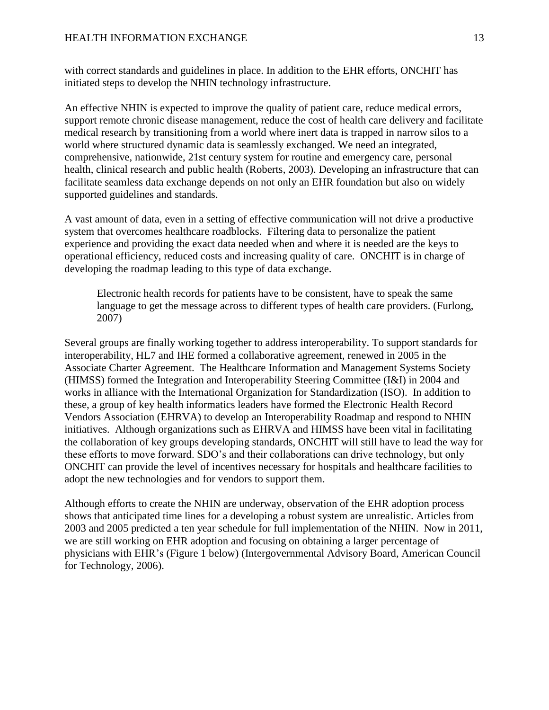with correct standards and guidelines in place. In addition to the EHR efforts, ONCHIT has initiated steps to develop the NHIN technology infrastructure.

An effective NHIN is expected to improve the quality of patient care, reduce medical errors, support remote chronic disease management, reduce the cost of health care delivery and facilitate medical research by transitioning from a world where inert data is trapped in narrow silos to a world where structured dynamic data is seamlessly exchanged. We need an integrated, comprehensive, nationwide, 21st century system for routine and emergency care, personal health, clinical research and public health (Roberts, 2003). Developing an infrastructure that can facilitate seamless data exchange depends on not only an EHR foundation but also on widely supported guidelines and standards.

A vast amount of data, even in a setting of effective communication will not drive a productive system that overcomes healthcare roadblocks. Filtering data to personalize the patient experience and providing the exact data needed when and where it is needed are the keys to operational efficiency, reduced costs and increasing quality of care. ONCHIT is in charge of developing the roadmap leading to this type of data exchange.

Electronic health records for patients have to be consistent, have to speak the same language to get the message across to different types of health care providers. (Furlong, 2007)

Several groups are finally working together to address interoperability. To support standards for interoperability, HL7 and IHE formed a collaborative agreement, renewed in 2005 in the Associate Charter Agreement. The Healthcare Information and Management Systems Society (HIMSS) formed the Integration and Interoperability Steering Committee (I&I) in 2004 and works in alliance with the International Organization for Standardization (ISO). In addition to these, a group of key health informatics leaders have formed the Electronic Health Record Vendors Association (EHRVA) to develop an Interoperability Roadmap and respond to NHIN initiatives. Although organizations such as EHRVA and HIMSS have been vital in facilitating the collaboration of key groups developing standards, ONCHIT will still have to lead the way for these efforts to move forward. SDO's and their collaborations can drive technology, but only ONCHIT can provide the level of incentives necessary for hospitals and healthcare facilities to adopt the new technologies and for vendors to support them.

Although efforts to create the NHIN are underway, observation of the EHR adoption process shows that anticipated time lines for a developing a robust system are unrealistic. Articles from 2003 and 2005 predicted a ten year schedule for full implementation of the NHIN. Now in 2011, we are still working on EHR adoption and focusing on obtaining a larger percentage of physicians with EHR's (Figure 1 below) (Intergovernmental Advisory Board, American Council for Technology, 2006).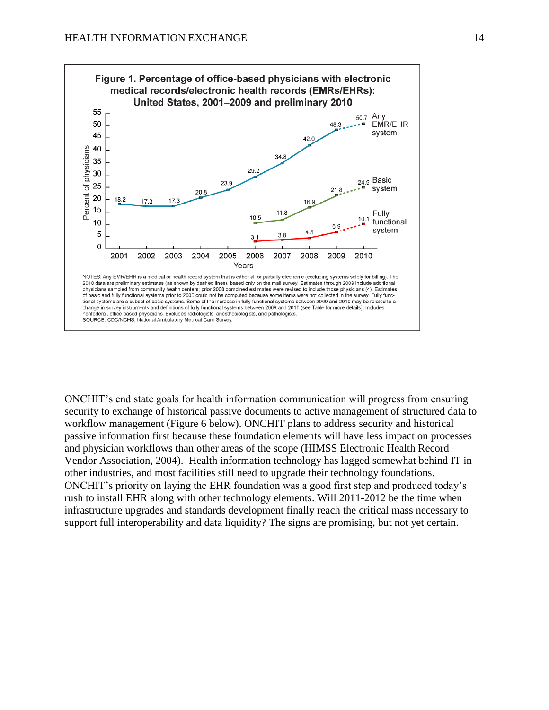

ONCHIT's end state goals for health information communication will progress from ensuring security to exchange of historical passive documents to active management of structured data to workflow management (Figure 6 below). ONCHIT plans to address security and historical passive information first because these foundation elements will have less impact on processes and physician workflows than other areas of the scope (HIMSS Electronic Health Record Vendor Association, 2004). Health information technology has lagged somewhat behind IT in other industries, and most facilities still need to upgrade their technology foundations. ONCHIT's priority on laying the EHR foundation was a good first step and produced today's rush to install EHR along with other technology elements. Will 2011-2012 be the time when infrastructure upgrades and standards development finally reach the critical mass necessary to support full interoperability and data liquidity? The signs are promising, but not yet certain.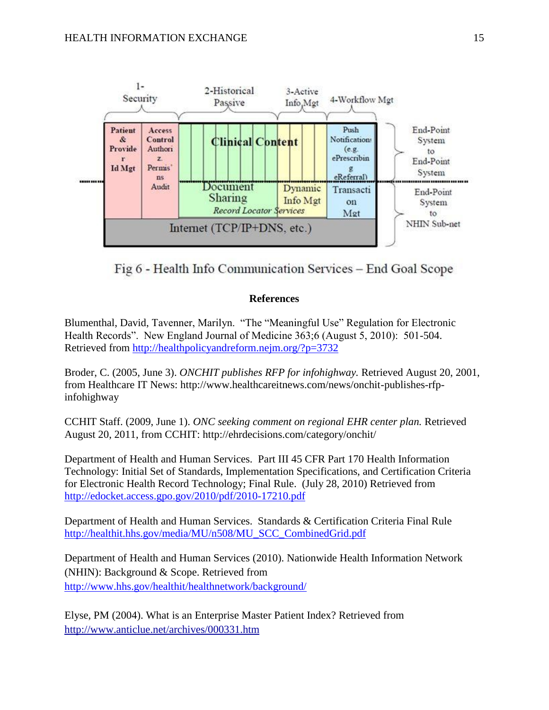

Fig 6 - Health Info Communication Services – End Goal Scope

## **References**

Blumenthal, David, Tavenner, Marilyn. "The "Meaningful Use" Regulation for Electronic Health Records". New England Journal of Medicine 363;6 (August 5, 2010): 501-504. Retrieved from <http://healthpolicyandreform.nejm.org/?p=3732>

Broder, C. (2005, June 3). *ONCHIT publishes RFP for infohighway.* Retrieved August 20, 2001, from Healthcare IT News: http://www.healthcareitnews.com/news/onchit-publishes-rfpinfohighway

CCHIT Staff. (2009, June 1). *ONC seeking comment on regional EHR center plan.* Retrieved August 20, 2011, from CCHIT: http://ehrdecisions.com/category/onchit/

Department of Health and Human Services. Part III 45 CFR Part 170 Health Information Technology: Initial Set of Standards, Implementation Specifications, and Certification Criteria for Electronic Health Record Technology; Final Rule. (July 28, 2010) Retrieved fro[m](http://edocket.access.gpo.gov/2010/pdf/2010-17210.pdf) <http://edocket.access.gpo.gov/2010/pdf/2010-17210.pdf>

Department of Health and Human Services. Standards & Certification Criteria Final Rul[e](http://healthit.hhs.gov/media/MU/n508/MU_SCC_CombinedGrid.pdf) [http://healthit.hhs.gov/media/MU/n508/MU\\_SCC\\_CombinedGrid.pdf](http://healthit.hhs.gov/media/MU/n508/MU_SCC_CombinedGrid.pdf)

Department of Health and Human Services (2010). Nationwide Health Information Network (NHIN): Background & Scope. Retrieved from <http://www.hhs.gov/healthit/healthnetwork/background/>

Elyse, PM (2004). What is an Enterprise Master Patient Index? Retrieved from <http://www.anticlue.net/archives/000331.htm>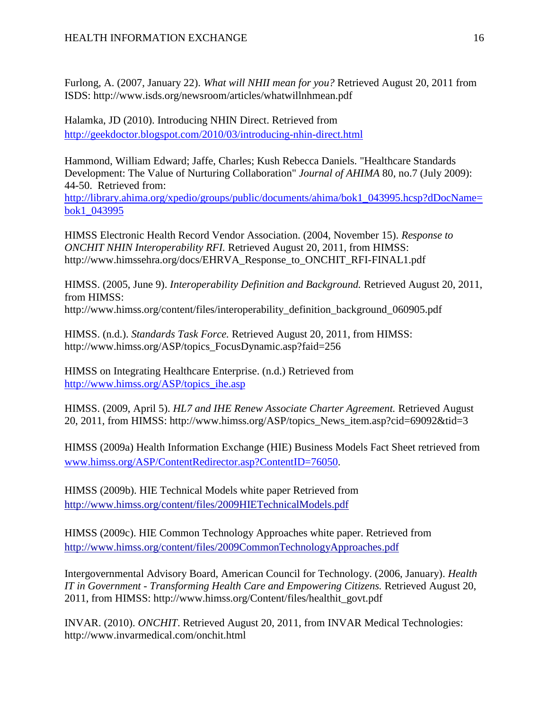Furlong, A. (2007, January 22). *What will NHII mean for you?* Retrieved August 20, 2011 from ISDS: http://www.isds.org/newsroom/articles/whatwillnhmean.pdf

Halamka, JD (2010). Introducing NHIN Direct. Retrieved fro[m](http://geekdoctor.blogspot.com/2010/03/introducing-nhin-direct.html) <http://geekdoctor.blogspot.com/2010/03/introducing-nhin-direct.html>

Hammond, William Edward; Jaffe, Charles; Kush Rebecca Daniels. "Healthcare Standards Development: The Value of Nurturing Collaboration" *Journal of AHIMA* 80, no.7 (July 2009): 44-50. Retrieved from:

[http://library.ahima.org/xpedio/groups/public/documents/ahima/bok1\\_043995.hcsp?dDocName=](http://library.ahima.org/xpedio/groups/public/documents/ahima/bok1_043995.hcsp?dDocName=bok1_043995) [bok1\\_043995](http://library.ahima.org/xpedio/groups/public/documents/ahima/bok1_043995.hcsp?dDocName=bok1_043995)

HIMSS Electronic Health Record Vendor Association. (2004, November 15). *Response to ONCHIT NHIN Interoperability RFI.* Retrieved August 20, 2011, from HIMSS: http://www.himssehra.org/docs/EHRVA\_Response\_to\_ONCHIT\_RFI-FINAL1.pdf

HIMSS. (2005, June 9). *Interoperability Definition and Background.* Retrieved August 20, 2011, from HIMSS:

http://www.himss.org/content/files/interoperability\_definition\_background\_060905.pdf

HIMSS. (n.d.). *Standards Task Force.* Retrieved August 20, 2011, from HIMSS: http://www.himss.org/ASP/topics\_FocusDynamic.asp?faid=256

HIMSS on Integrating Healthcare Enterprise. (n.d.) Retrieved fro[m](http://www.himss.org/ASP/topics_ihe.asp) [http://www.himss.org/ASP/topics\\_ihe.asp](http://www.himss.org/ASP/topics_ihe.asp)

HIMSS. (2009, April 5). *HL7 and IHE Renew Associate Charter Agreement.* Retrieved August 20, 2011, from HIMSS: http://www.himss.org/ASP/topics\_News\_item.asp?cid=69092&tid=3

HIMSS (2009a) Health Information Exchange (HIE) Business Models Fact Sheet retrieved fro[m](http://www.himss.org/ASP/ContentRedirector.asp?ContentID=76050) [www.himss.org/ASP/ContentRedirector.asp?ContentID=76050.](http://www.himss.org/ASP/ContentRedirector.asp?ContentID=76050)

HIMSS (2009b). HIE Technical Models white paper Retrieved fro[m](https://himsshie.pbworks.com/w/page/4777793/HIEModels) <http://www.himss.org/content/files/2009HIETechnicalModels.pdf>

HIMSS (2009c). HIE Common Technology Approaches white paper. Retrieved from <http://www.himss.org/content/files/2009CommonTechnologyApproaches.pdf>

Intergovernmental Advisory Board, American Council for Technology. (2006, January). *Health IT in Government - Transforming Health Care and Empowering Citizens.* Retrieved August 20, 2011, from HIMSS: http://www.himss.org/Content/files/healthit\_govt.pdf

INVAR. (2010). *ONCHIT*. Retrieved August 20, 2011, from INVAR Medical Technologies: http://www.invarmedical.com/onchit.html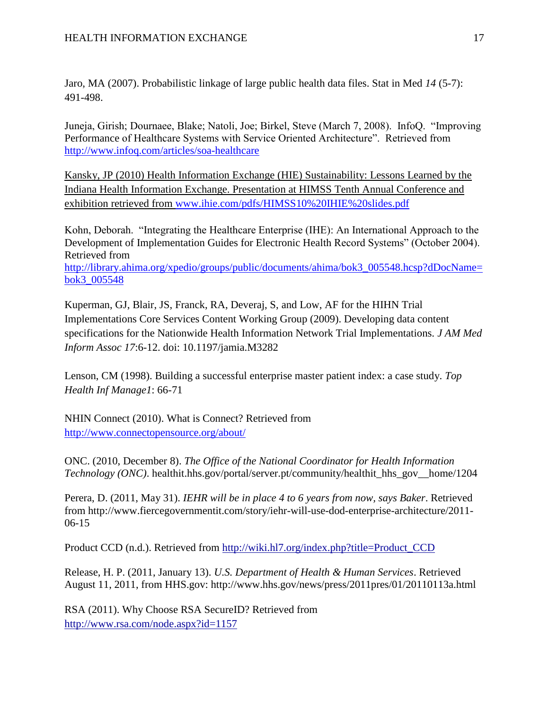Jaro, MA (2007). Probabilistic linkage of large public health data files. Stat in Med *14* (5-7): 491-498.

Juneja, Girish; Dournaee, Blake; Natoli, Joe; Birkel, Steve (March 7, 2008). InfoQ. "Improving Performance of Healthcare Systems with Service Oriented Architecture". Retrieved from <http://www.infoq.com/articles/soa-healthcare>

Kansky, JP (2010) Health Information Exchange (HIE) Sustainability: Lessons Learned by the Indiana Health Information Exchange. Presentation at HIMSS Tenth Annual Conference and exhibition retrieved fro[m](http://www.ihie.com/pdfs/HIMSS10%20IHIE%20slides.pdf) [www.ihie.com/pdfs/HIMSS10%20IHIE%20slides.pdf](http://www.ihie.com/pdfs/HIMSS10%20IHIE%20slides.pdf)

Kohn, Deborah. "Integrating the Healthcare Enterprise (IHE): An International Approach to the Development of Implementation Guides for Electronic Health Record Systems" (October 2004). Retrieved fro[m](http://library.ahima.org/xpedio/groups/public/documents/ahima/bok3_005548.hcsp?dDocName=bok3_005548) [http://library.ahima.org/xpedio/groups/public/documents/ahima/bok3\\_005548.hcsp?dDocName=](http://library.ahima.org/xpedio/groups/public/documents/ahima/bok3_005548.hcsp?dDocName=bok3_005548) [bok3\\_005548](http://library.ahima.org/xpedio/groups/public/documents/ahima/bok3_005548.hcsp?dDocName=bok3_005548)

Kuperman, GJ, Blair, JS, Franck, RA, Deveraj, S, and Low, AF for the HIHN Trial Implementations Core Services Content Working Group (2009). Developing data content specifications for the Nationwide Health Information Network Trial Implementations. *J AM Med Inform Assoc 17*:6-12. doi: 10.1197/jamia.M3282

Lenson, CM (1998). Building a successful enterprise master patient index: a case study. *Top Health Inf Manage1*: 66-71

NHIN Connect (2010). What is Connect? Retrieved fro[m](http://www.connectopensource.org/about/) <http://www.connectopensource.org/about/>

ONC. (2010, December 8). *The Office of the National Coordinator for Health Information Technology (ONC)*. healthit.hhs.gov/portal/server.pt/community/healthit\_hhs\_gov\_\_home/1204

Perera, D. (2011, May 31). *IEHR will be in place 4 to 6 years from now, says Baker*. Retrieved from http://www.fiercegovernmentit.com/story/iehr-will-use-dod-enterprise-architecture/2011- 06-15

Product CCD (n.d.). Retrieved from [http://wiki.hl7.org/index.php?title=Product\\_CCD](http://wiki.hl7.org/index.php?title=Product_CCD)

Release, H. P. (2011, January 13). *U.S. Department of Health & Human Services*. Retrieved August 11, 2011, from HHS.gov: http://www.hhs.gov/news/press/2011pres/01/20110113a.html

RSA (2011). Why Choose RSA SecureID? Retrieved from <http://www.rsa.com/node.aspx?id=1157>